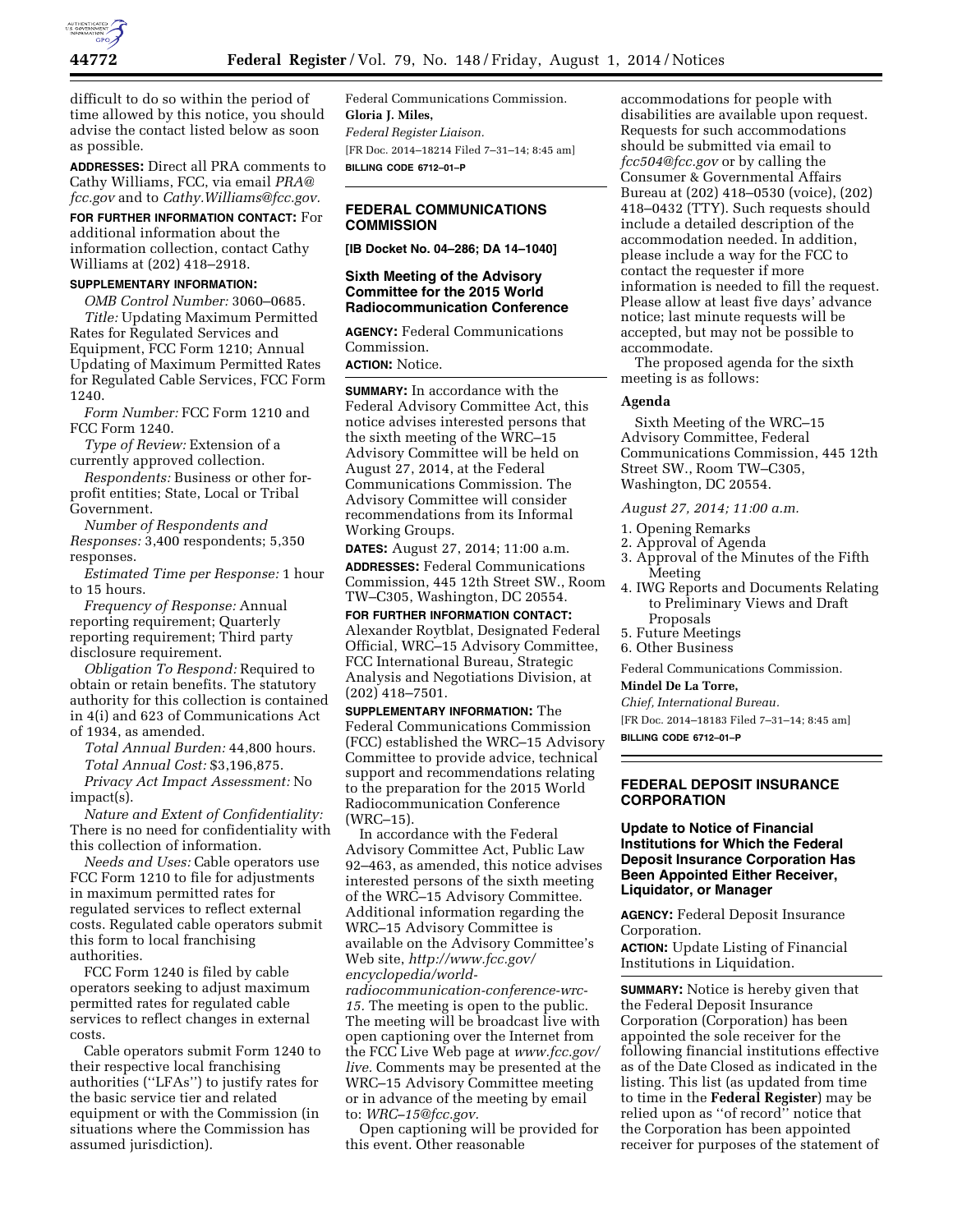

difficult to do so within the period of time allowed by this notice, you should advise the contact listed below as soon as possible.

**ADDRESSES:** Direct all PRA comments to Cathy Williams, FCC, via email *[PRA@](mailto:PRA@fcc.gov) [fcc.gov](mailto:PRA@fcc.gov)* and to *[Cathy.Williams@fcc.gov.](mailto:Cathy.Williams@fcc.gov)* 

**FOR FURTHER INFORMATION CONTACT:** For additional information about the information collection, contact Cathy Williams at (202) 418–2918.

## **SUPPLEMENTARY INFORMATION:**

*OMB Control Number:* 3060–0685. *Title:* Updating Maximum Permitted Rates for Regulated Services and Equipment, FCC Form 1210; Annual Updating of Maximum Permitted Rates for Regulated Cable Services, FCC Form 1240.

*Form Number:* FCC Form 1210 and FCC Form 1240.

*Type of Review:* Extension of a currently approved collection.

*Respondents:* Business or other forprofit entities; State, Local or Tribal Government.

*Number of Respondents and Responses:* 3,400 respondents; 5,350 responses.

*Estimated Time per Response:* 1 hour to 15 hours.

*Frequency of Response:* Annual reporting requirement; Quarterly reporting requirement; Third party disclosure requirement.

*Obligation To Respond:* Required to obtain or retain benefits. The statutory authority for this collection is contained in 4(i) and 623 of Communications Act of 1934, as amended.

*Total Annual Burden:* 44,800 hours. *Total Annual Cost:* \$3,196,875.

*Privacy Act Impact Assessment:* No impact(s).

*Nature and Extent of Confidentiality:*  There is no need for confidentiality with this collection of information.

*Needs and Uses:* Cable operators use FCC Form 1210 to file for adjustments in maximum permitted rates for regulated services to reflect external costs. Regulated cable operators submit this form to local franchising authorities.

FCC Form 1240 is filed by cable operators seeking to adjust maximum permitted rates for regulated cable services to reflect changes in external costs.

Cable operators submit Form 1240 to their respective local franchising authorities (''LFAs'') to justify rates for the basic service tier and related equipment or with the Commission (in situations where the Commission has assumed jurisdiction).

Federal Communications Commission. **Gloria J. Miles,**  *Federal Register Liaison.*  [FR Doc. 2014–18214 Filed 7–31–14; 8:45 am] **BILLING CODE 6712–01–P** 

### **FEDERAL COMMUNICATIONS COMMISSION**

**[IB Docket No. 04–286; DA 14–1040]** 

### **Sixth Meeting of the Advisory Committee for the 2015 World Radiocommunication Conference**

**AGENCY:** Federal Communications Commission.

**ACTION:** Notice.

**SUMMARY:** In accordance with the Federal Advisory Committee Act, this notice advises interested persons that the sixth meeting of the WRC–15 Advisory Committee will be held on August 27, 2014, at the Federal Communications Commission. The Advisory Committee will consider recommendations from its Informal Working Groups.

**DATES:** August 27, 2014; 11:00 a.m. **ADDRESSES:** Federal Communications Commission, 445 12th Street SW., Room TW–C305, Washington, DC 20554.

**FOR FURTHER INFORMATION CONTACT:**  Alexander Roytblat, Designated Federal Official, WRC–15 Advisory Committee, FCC International Bureau, Strategic Analysis and Negotiations Division, at (202) 418–7501.

**SUPPLEMENTARY INFORMATION:** The Federal Communications Commission (FCC) established the WRC–15 Advisory Committee to provide advice, technical support and recommendations relating to the preparation for the 2015 World Radiocommunication Conference (WRC–15).

In accordance with the Federal Advisory Committee Act, Public Law 92–463, as amended, this notice advises interested persons of the sixth meeting of the WRC–15 Advisory Committee. Additional information regarding the WRC–15 Advisory Committee is available on the Advisory Committee's Web site, *[http://www.fcc.gov/](http://www.fcc.gov/encyclopedia/world-radiocommunication-conference-wrc-15) [encyclopedia/world-](http://www.fcc.gov/encyclopedia/world-radiocommunication-conference-wrc-15)*

*[radiocommunication-conference-wrc-](http://www.fcc.gov/encyclopedia/world-radiocommunication-conference-wrc-15)[15.](http://www.fcc.gov/encyclopedia/world-radiocommunication-conference-wrc-15)* The meeting is open to the public. The meeting will be broadcast live with open captioning over the Internet from the FCC Live Web page at *[www.fcc.gov/](http://www.fcc.gov/live) [live.](http://www.fcc.gov/live)* Comments may be presented at the WRC–15 Advisory Committee meeting or in advance of the meeting by email to: *[WRC–15@fcc.gov.](mailto:WRC-15@fcc.gov)* 

Open captioning will be provided for this event. Other reasonable

accommodations for people with disabilities are available upon request. Requests for such accommodations should be submitted via email to *[fcc504@fcc.gov](mailto:fcc504@fcc.gov)* or by calling the Consumer & Governmental Affairs Bureau at (202) 418–0530 (voice), (202) 418–0432 (TTY). Such requests should include a detailed description of the accommodation needed. In addition, please include a way for the FCC to contact the requester if more information is needed to fill the request. Please allow at least five days' advance notice; last minute requests will be accepted, but may not be possible to accommodate.

The proposed agenda for the sixth meeting is as follows:

### **Agenda**

Sixth Meeting of the WRC–15 Advisory Committee, Federal Communications Commission, 445 12th Street SW., Room TW–C305, Washington, DC 20554.

*August 27, 2014; 11:00 a.m.* 

1. Opening Remarks

- 2. Approval of Agenda
- 3. Approval of the Minutes of the Fifth Meeting
- 4. IWG Reports and Documents Relating to Preliminary Views and Draft
	- Proposals
- 5. Future Meetings 6. Other Business
- 

Federal Communications Commission.

## **Mindel De La Torre,**

*Chief, International Bureau.* 

[FR Doc. 2014–18183 Filed 7–31–14; 8:45 am]

**BILLING CODE 6712–01–P** 

## **FEDERAL DEPOSIT INSURANCE CORPORATION**

## **Update to Notice of Financial Institutions for Which the Federal Deposit Insurance Corporation Has Been Appointed Either Receiver, Liquidator, or Manager**

**AGENCY:** Federal Deposit Insurance Corporation.

**ACTION:** Update Listing of Financial Institutions in Liquidation.

**SUMMARY:** Notice is hereby given that the Federal Deposit Insurance Corporation (Corporation) has been appointed the sole receiver for the following financial institutions effective as of the Date Closed as indicated in the listing. This list (as updated from time to time in the **Federal Register**) may be relied upon as ''of record'' notice that the Corporation has been appointed receiver for purposes of the statement of